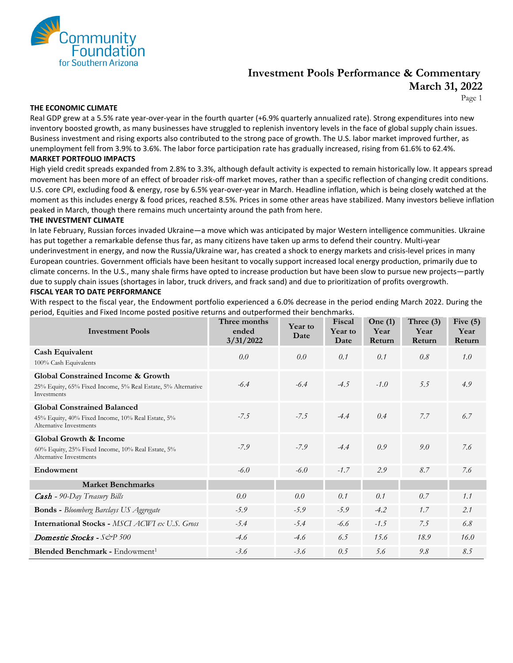

## **Investment Pools Performance & Commentary March 31, 2022**

Page 1

#### **THE ECONOMIC CLIMATE**

Real GDP grew at a 5.5% rate year-over-year in the fourth quarter (+6.9% quarterly annualized rate). Strong expenditures into new inventory boosted growth, as many businesses have struggled to replenish inventory levels in the face of global supply chain issues. Business investment and rising exports also contributed to the strong pace of growth. The U.S. labor market improved further, as unemployment fell from 3.9% to 3.6%. The labor force participation rate has gradually increased, rising from 61.6% to 62.4%.

#### **MARKET PORTFOLIO IMPACTS**

High yield credit spreads expanded from 2.8% to 3.3%, although default activity is expected to remain historically low. It appears spread movement has been more of an effect of broader risk-off market moves, rather than a specific reflection of changing credit conditions. U.S. core CPI, excluding food & energy, rose by 6.5% year-over-year in March. Headline inflation, which is being closely watched at the moment as this includes energy & food prices, reached 8.5%. Prices in some other areas have stabilized. Many investors believe inflation peaked in March, though there remains much uncertainty around the path from here.

#### **THE INVESTMENT CLIMATE**

In late February, Russian forces invaded Ukraine—a move which was anticipated by major Western intelligence communities. Ukraine has put together a remarkable defense thus far, as many citizens have taken up arms to defend their country. Multi-year underinvestment in energy, and now the Russia/Ukraine war, has created a shock to energy markets and crisis-level prices in many European countries. Government officials have been hesitant to vocally support increased local energy production, primarily due to climate concerns. In the U.S., many shale firms have opted to increase production but have been slow to pursue new projects—partly due to supply chain issues (shortages in labor, truck drivers, and frack sand) and due to prioritization of profits overgrowth. **FISCAL YEAR TO DATE PERFORMANCE**

With respect to the fiscal year, the Endowment portfolio experienced a 6.0% decrease in the period ending March 2022. During the period, Equities and Fixed Income posted positive returns and outperformed their benchmarks.

| <b>Investment Pools</b>                                                      | Three months<br>ended<br>3/31/2022 | Year to<br>Date | Fiscal<br>Year to<br>Date | One $(1)$<br>Year<br>Return | Three $(3)$<br>Year<br>Return | Five $(5)$<br>Year<br>Return |
|------------------------------------------------------------------------------|------------------------------------|-----------------|---------------------------|-----------------------------|-------------------------------|------------------------------|
| <b>Cash Equivalent</b>                                                       | 0.0                                | 0.0             | 0.1                       | 0.1                         | 0.8                           | 1.0                          |
| 100% Cash Equivalents                                                        |                                    |                 |                           |                             |                               |                              |
| Global Constrained Income & Growth                                           |                                    |                 |                           |                             |                               |                              |
| 25% Equity, 65% Fixed Income, 5% Real Estate, 5% Alternative<br>Investments  | $-6.4$                             | $-6.4$          | $-4.5$                    | $-1.0$                      | 5.5                           | 4.9                          |
| <b>Global Constrained Balanced</b>                                           |                                    |                 |                           |                             |                               |                              |
| 45% Equity, 40% Fixed Income, 10% Real Estate, 5%<br>Alternative Investments | $-7.5$                             | $-7.5$          | $-4.4$                    | 0.4                         | 7.7                           | 6.7                          |
| <b>Global Growth &amp; Income</b>                                            |                                    |                 |                           |                             |                               |                              |
| 60% Equity, 25% Fixed Income, 10% Real Estate, 5%<br>Alternative Investments | $-7.9$                             | $-7.9$          | $-4.4$                    | 0.9                         | 9.0                           | 7.6                          |
| Endowment                                                                    | $-6.0$                             | $-6.0$          | $-1.7$                    | 2.9                         | 8.7                           | 7.6                          |
| <b>Market Benchmarks</b>                                                     |                                    |                 |                           |                             |                               |                              |
| <b>Cash</b> - 90-Day Treasury Bills                                          | 0.0                                | 0.0             | 0.1                       | 0.1                         | 0.7                           | 1.1                          |
| <b>Bonds</b> - Bloomberg Barclays US Aggregate                               | $-5.9$                             | $-5.9$          | $-5.9$                    | $-4.2$                      | 1.7                           | 2.1                          |
| <b>International Stocks - MSCI ACWI ex U.S. Gross</b>                        | $-5.4$                             | $-5.4$          | -6.6                      | $-1.5$                      | 7.5                           | 6.8                          |
| <b>Domestic Stocks</b> - $S\&P 500$                                          | $-4.6$                             | $-4.6$          | 6.5                       | 15.6                        | 18.9                          | 16.0                         |
| Blended Benchmark - Endowment <sup>1</sup>                                   | $-3.6$                             | $-3.6$          | 0.5                       | 5.6                         | 9.8                           | 8.5                          |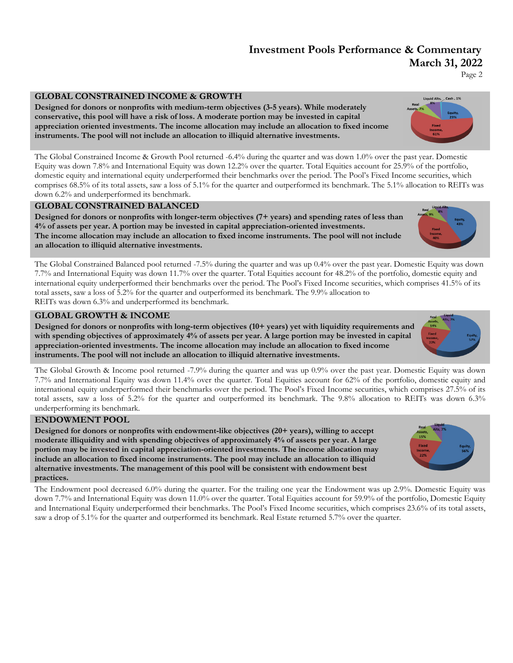## **Investment Pools Performance & Commentary March 31, 2022**

Page 2

## **GLOBAL CONSTRAINED INCOME & GROWTH**

**Designed for donors or nonprofits with medium-term objectives (3-5 years). While moderately conservative, this pool will have a risk of loss. A moderate portion may be invested in capital appreciation oriented investments. The income allocation may include an allocation to fixed income instruments. The pool will not include an allocation to illiquid alternative investments.** 

The Global Constrained Income & Growth Pool returned -6.4% during the quarter and was down 1.0% over the past year. Domestic Equity was down 7.8% and International Equity was down 12.2% over the quarter. Total Equities account for 25.9% of the portfolio, domestic equity and international equity underperformed their benchmarks over the period. The Pool's Fixed Income securities, which comprises 68.5% of its total assets, saw a loss of 5.1% for the quarter and outperformed its benchmark. The 5.1% allocation to REITs was down 6.2% and underperformed its benchmark.

### **GLOBAL CONSTRAINED BALANCED**

**Designed for donors or nonprofits with longer-term objectives (7+ years) and spending rates of less than 4% of assets per year. A portion may be invested in capital appreciation-oriented investments. The income allocation may include an allocation to fixed income instruments. The pool will not include an allocation to illiquid alternative investments.** 

The Global Constrained Balanced pool returned -7.5% during the quarter and was up 0.4% over the past year. Domestic Equity was down 7.7% and International Equity was down 11.7% over the quarter. Total Equities account for 48.2% of the portfolio, domestic equity and international equity underperformed their benchmarks over the period. The Pool's Fixed Income securities, which comprises 41.5% of its total assets, saw a loss of 5.2% for the quarter and outperformed its benchmark. The 9.9% allocation to REITs was down 6.3% and underperformed its benchmark.

### **GLOBAL GROWTH & INCOME**

**Designed for donors or nonprofits with long-term objectives (10+ years) yet with liquidity requirements and with spending objectives of approximately 4% of assets per year. A large portion may be invested in capital appreciation-oriented investments. The income allocation may include an allocation to fixed income instruments. The pool will not include an allocation to illiquid alternative investments.** 

The Global Growth & Income pool returned -7.9% during the quarter and was up 0.9% over the past year. Domestic Equity was down 7.7% and International Equity was down 11.4% over the quarter. Total Equities account for 62% of the portfolio, domestic equity and international equity underperformed their benchmarks over the period. The Pool's Fixed Income securities, which comprises 27.5% of its total assets, saw a loss of 5.2% for the quarter and outperformed its benchmark. The 9.8% allocation to REITs was down 6.3% underperforming its benchmark.

### **ENDOWMENT POOL**

**Designed for donors or nonprofits with endowment-like objectives (20+ years), willing to accept moderate illiquidity and with spending objectives of approximately 4% of assets per year. A large portion may be invested in capital appreciation-oriented investments. The income allocation may include an allocation to fixed income instruments. The pool may include an allocation to illiquid alternative investments. The management of this pool will be consistent with endowment best practices.**

The Endowment pool decreased 6.0% during the quarter. For the trailing one year the Endowment was up 2.9%. Domestic Equity was down 7.7% and International Equity was down 11.0% over the quarter. Total Equities account for 59.9% of the portfolio, Domestic Equity and International Equity underperformed their benchmarks. The Pool's Fixed Income securities, which comprises 23.6% of its total assets, saw a drop of 5.1% for the quarter and outperformed its benchmark. Real Estate returned 5.7% over the quarter.





 $\_Cash, 1\%$ 

**Liquid Alts**